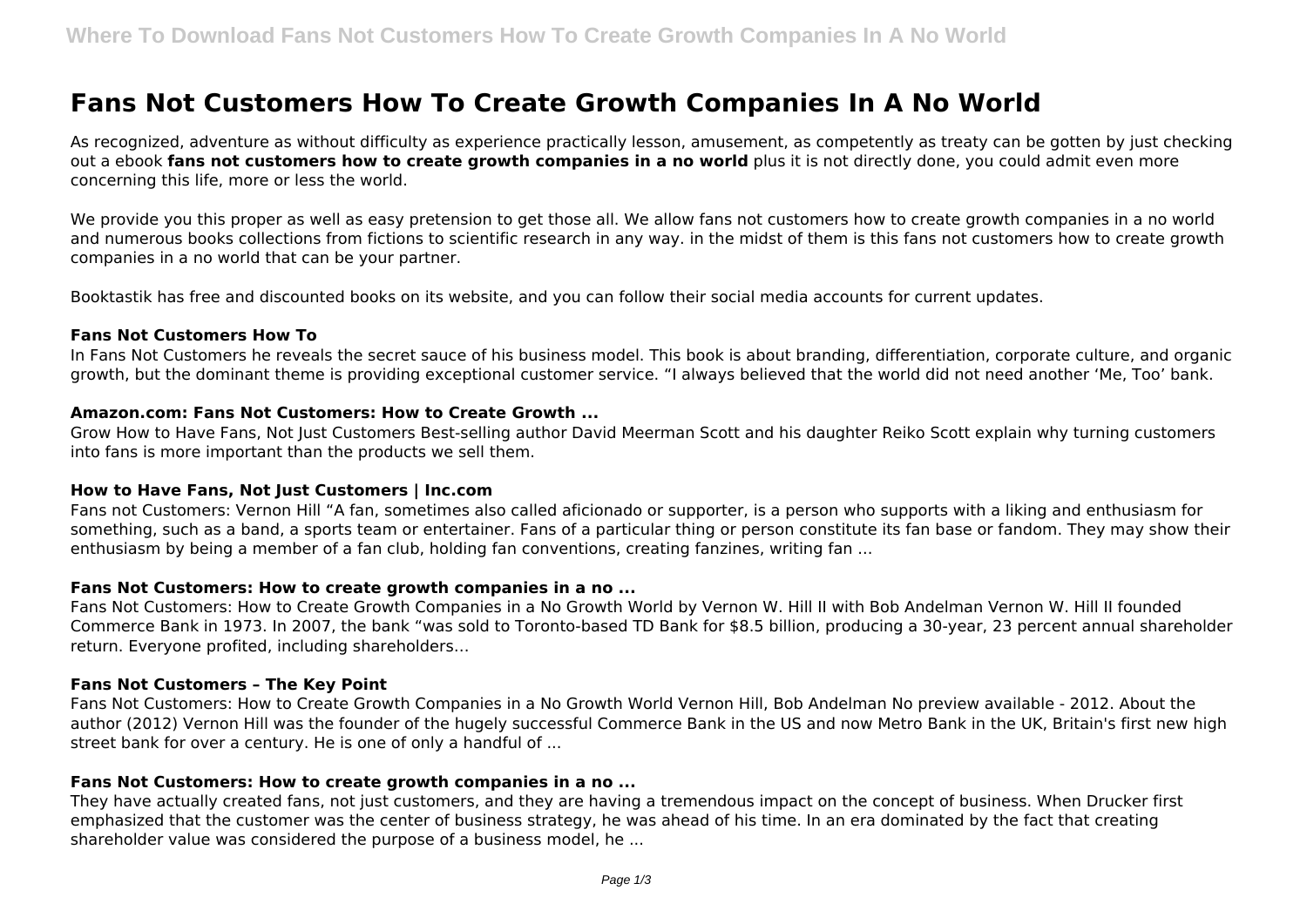# **Fans Not Customers How To Create Growth Companies In A No World**

As recognized, adventure as without difficulty as experience practically lesson, amusement, as competently as treaty can be gotten by just checking out a ebook **fans not customers how to create growth companies in a no world** plus it is not directly done, you could admit even more concerning this life, more or less the world.

We provide you this proper as well as easy pretension to get those all. We allow fans not customers how to create growth companies in a no world and numerous books collections from fictions to scientific research in any way. in the midst of them is this fans not customers how to create growth companies in a no world that can be your partner.

Booktastik has free and discounted books on its website, and you can follow their social media accounts for current updates.

#### **Fans Not Customers How To**

In Fans Not Customers he reveals the secret sauce of his business model. This book is about branding, differentiation, corporate culture, and organic growth, but the dominant theme is providing exceptional customer service. "I always believed that the world did not need another 'Me, Too' bank.

## **Amazon.com: Fans Not Customers: How to Create Growth ...**

Grow How to Have Fans, Not Just Customers Best-selling author David Meerman Scott and his daughter Reiko Scott explain why turning customers into fans is more important than the products we sell them.

## **How to Have Fans, Not Just Customers | Inc.com**

Fans not Customers: Vernon Hill "A fan, sometimes also called aficionado or supporter, is a person who supports with a liking and enthusiasm for something, such as a band, a sports team or entertainer. Fans of a particular thing or person constitute its fan base or fandom. They may show their enthusiasm by being a member of a fan club, holding fan conventions, creating fanzines, writing fan ...

## **Fans Not Customers: How to create growth companies in a no ...**

Fans Not Customers: How to Create Growth Companies in a No Growth World by Vernon W. Hill II with Bob Andelman Vernon W. Hill II founded Commerce Bank in 1973. In 2007, the bank "was sold to Toronto-based TD Bank for \$8.5 billion, producing a 30-year, 23 percent annual shareholder return. Everyone profited, including shareholders…

#### **Fans Not Customers – The Key Point**

Fans Not Customers: How to Create Growth Companies in a No Growth World Vernon Hill, Bob Andelman No preview available - 2012. About the author (2012) Vernon Hill was the founder of the hugely successful Commerce Bank in the US and now Metro Bank in the UK, Britain's first new high street bank for over a century. He is one of only a handful of ...

# **Fans Not Customers: How to create growth companies in a no ...**

They have actually created fans, not just customers, and they are having a tremendous impact on the concept of business. When Drucker first emphasized that the customer was the center of business strategy, he was ahead of his time. In an era dominated by the fact that creating shareholder value was considered the purpose of a business model, he ...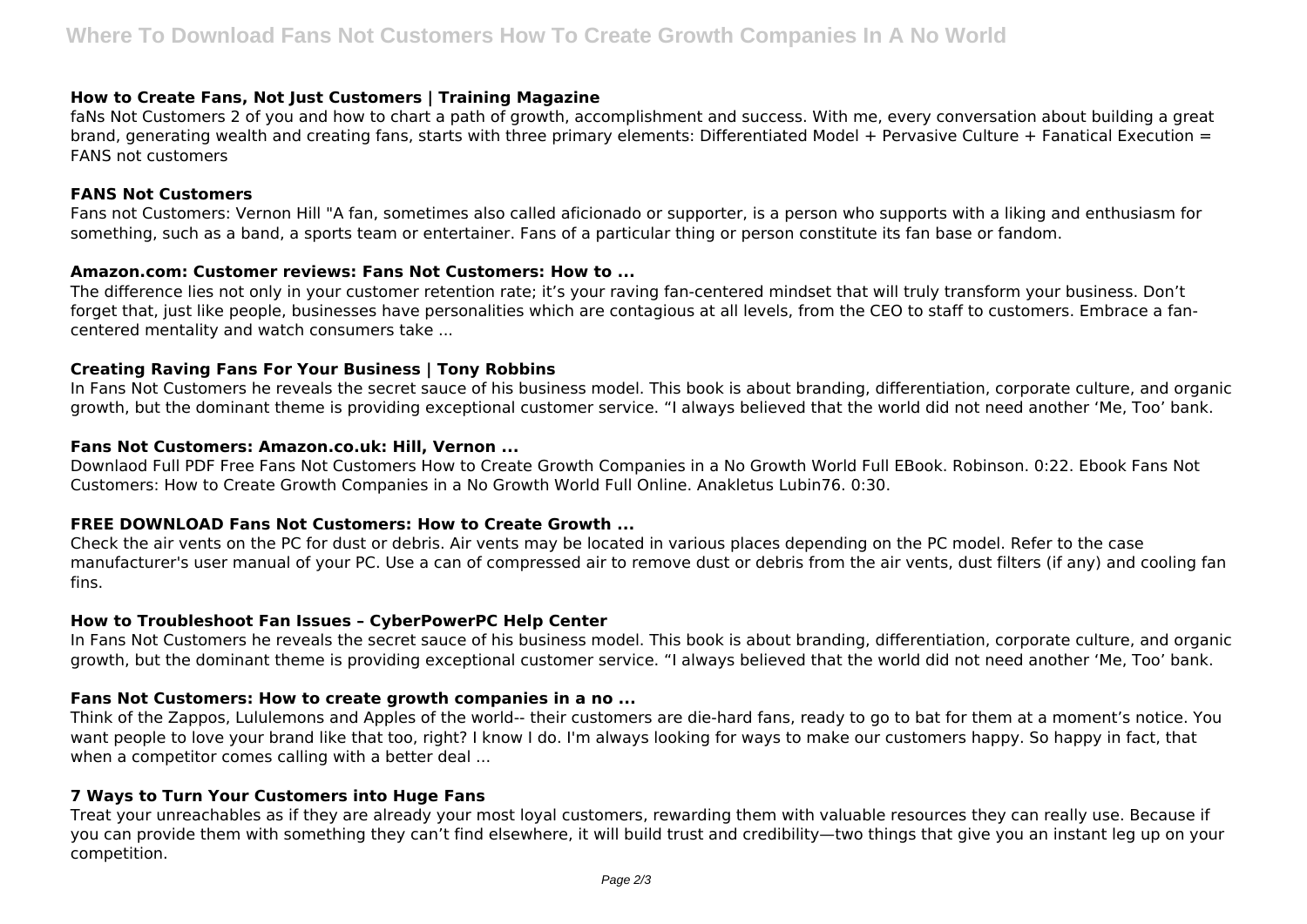## **How to Create Fans, Not Just Customers | Training Magazine**

faNs Not Customers 2 of you and how to chart a path of growth, accomplishment and success. With me, every conversation about building a great brand, generating wealth and creating fans, starts with three primary elements: Differentiated Model + Pervasive Culture + Fanatical Execution = FANS not customers

#### **FANS Not Customers**

Fans not Customers: Vernon Hill "A fan, sometimes also called aficionado or supporter, is a person who supports with a liking and enthusiasm for something, such as a band, a sports team or entertainer. Fans of a particular thing or person constitute its fan base or fandom.

#### **Amazon.com: Customer reviews: Fans Not Customers: How to ...**

The difference lies not only in your customer retention rate; it's your raving fan-centered mindset that will truly transform your business. Don't forget that, just like people, businesses have personalities which are contagious at all levels, from the CEO to staff to customers. Embrace a fancentered mentality and watch consumers take ...

## **Creating Raving Fans For Your Business | Tony Robbins**

In Fans Not Customers he reveals the secret sauce of his business model. This book is about branding, differentiation, corporate culture, and organic growth, but the dominant theme is providing exceptional customer service. "I always believed that the world did not need another 'Me, Too' bank.

#### **Fans Not Customers: Amazon.co.uk: Hill, Vernon ...**

Downlaod Full PDF Free Fans Not Customers How to Create Growth Companies in a No Growth World Full EBook. Robinson. 0:22. Ebook Fans Not Customers: How to Create Growth Companies in a No Growth World Full Online. Anakletus Lubin76. 0:30.

## **FREE DOWNLOAD Fans Not Customers: How to Create Growth ...**

Check the air vents on the PC for dust or debris. Air vents may be located in various places depending on the PC model. Refer to the case manufacturer's user manual of your PC. Use a can of compressed air to remove dust or debris from the air vents, dust filters (if any) and cooling fan fins.

#### **How to Troubleshoot Fan Issues – CyberPowerPC Help Center**

In Fans Not Customers he reveals the secret sauce of his business model. This book is about branding, differentiation, corporate culture, and organic growth, but the dominant theme is providing exceptional customer service. "I always believed that the world did not need another 'Me, Too' bank.

## **Fans Not Customers: How to create growth companies in a no ...**

Think of the Zappos, Lululemons and Apples of the world-- their customers are die-hard fans, ready to go to bat for them at a moment's notice. You want people to love your brand like that too, right? I know I do. I'm always looking for ways to make our customers happy. So happy in fact, that when a competitor comes calling with a better deal ...

## **7 Ways to Turn Your Customers into Huge Fans**

Treat your unreachables as if they are already your most loyal customers, rewarding them with valuable resources they can really use. Because if you can provide them with something they can't find elsewhere, it will build trust and credibility—two things that give you an instant leg up on your competition.